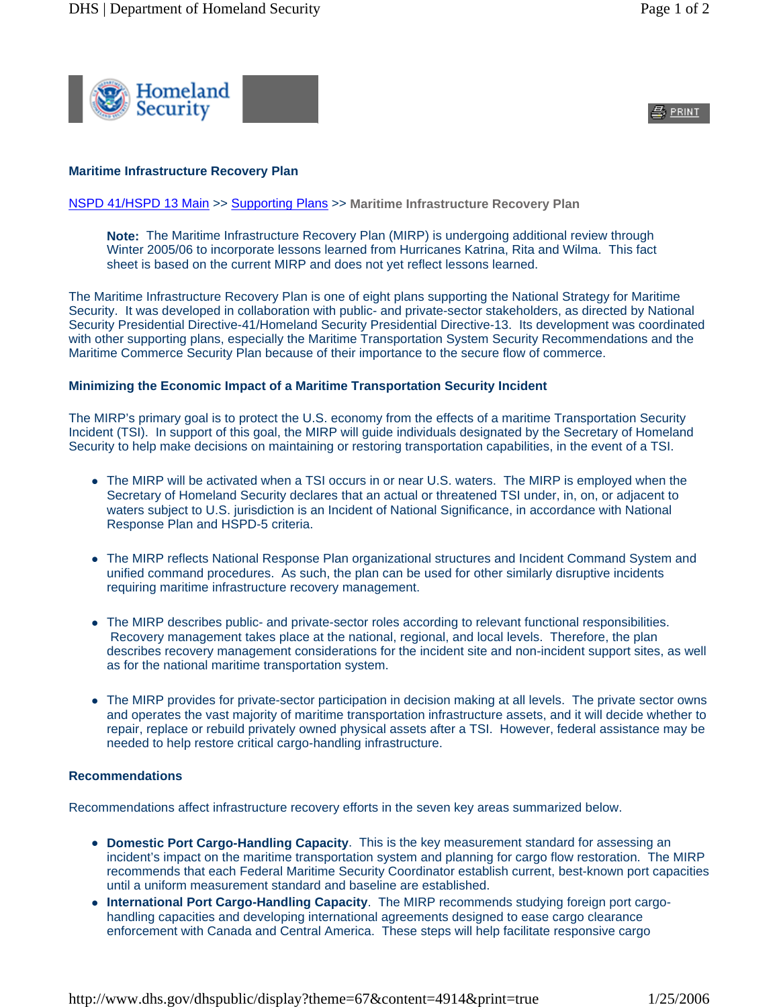

 $\triangleq$  print

## **Maritime Infrastructure Recovery Plan**

## NSPD 41/HSPD 13 Main >> Supporting Plans >> **Maritime Infrastructure Recovery Plan**

**Note:** The Maritime Infrastructure Recovery Plan (MIRP) is undergoing additional review through Winter 2005/06 to incorporate lessons learned from Hurricanes Katrina, Rita and Wilma. This fact sheet is based on the current MIRP and does not yet reflect lessons learned.

The Maritime Infrastructure Recovery Plan is one of eight plans supporting the National Strategy for Maritime Security. It was developed in collaboration with public- and private-sector stakeholders, as directed by National Security Presidential Directive-41/Homeland Security Presidential Directive-13. Its development was coordinated with other supporting plans, especially the Maritime Transportation System Security Recommendations and the Maritime Commerce Security Plan because of their importance to the secure flow of commerce.

## **Minimizing the Economic Impact of a Maritime Transportation Security Incident**

The MIRP's primary goal is to protect the U.S. economy from the effects of a maritime Transportation Security Incident (TSI). In support of this goal, the MIRP will guide individuals designated by the Secretary of Homeland Security to help make decisions on maintaining or restoring transportation capabilities, in the event of a TSI.

- The MIRP will be activated when a TSI occurs in or near U.S. waters. The MIRP is employed when the Secretary of Homeland Security declares that an actual or threatened TSI under, in, on, or adjacent to waters subject to U.S. jurisdiction is an Incident of National Significance, in accordance with National Response Plan and HSPD-5 criteria.
- The MIRP reflects National Response Plan organizational structures and Incident Command System and unified command procedures. As such, the plan can be used for other similarly disruptive incidents requiring maritime infrastructure recovery management.
- The MIRP describes public- and private-sector roles according to relevant functional responsibilities. Recovery management takes place at the national, regional, and local levels. Therefore, the plan describes recovery management considerations for the incident site and non-incident support sites, as well as for the national maritime transportation system.
- The MIRP provides for private-sector participation in decision making at all levels. The private sector owns and operates the vast majority of maritime transportation infrastructure assets, and it will decide whether to repair, replace or rebuild privately owned physical assets after a TSI. However, federal assistance may be needed to help restore critical cargo-handling infrastructure.

## **Recommendations**

Recommendations affect infrastructure recovery efforts in the seven key areas summarized below.

- **Domestic Port Cargo-Handling Capacity**. This is the key measurement standard for assessing an incident's impact on the maritime transportation system and planning for cargo flow restoration. The MIRP recommends that each Federal Maritime Security Coordinator establish current, best-known port capacities until a uniform measurement standard and baseline are established.
- **International Port Cargo-Handling Capacity**. The MIRP recommends studying foreign port cargohandling capacities and developing international agreements designed to ease cargo clearance enforcement with Canada and Central America. These steps will help facilitate responsive cargo